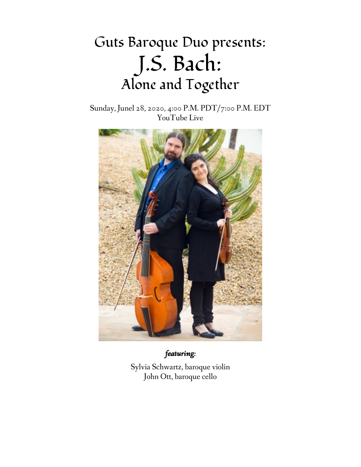# Guts Baroque Duo presents: J.S. Bach: Alone and Together

Sunday, Junel 28, 2020, 4:00 P.M. PDT/7:00 P.M. EDT YouTube Live



*featuring:*

Sylvia Schwartz, baroque violin John Ott, baroque cello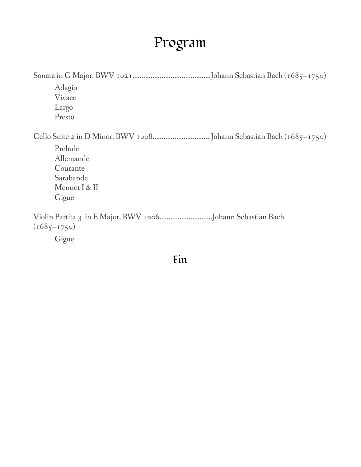# Program

| Adagio<br>Vivace<br>Largo<br>Presto                                     |
|-------------------------------------------------------------------------|
|                                                                         |
| Prelude<br>Allemande<br>Courante<br>Sarabande<br>Menuet I & II<br>Gigue |
| $(1685 - 1750)$                                                         |
| Gigue                                                                   |

#### Fin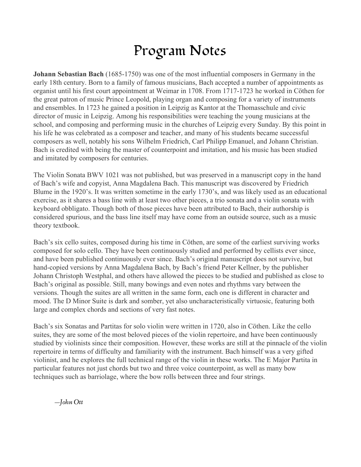## Program Notes

**Johann Sebastian Bach** (1685-1750) was one of the most influential composers in Germany in the early 18th century. Born to a family of famous musicians, Bach accepted a number of appointments as organist until his first court appointment at Weimar in 1708. From 1717-1723 he worked in Cöthen for the great patron of music Prince Leopold, playing organ and composing for a variety of instruments and ensembles. In 1723 he gained a position in Leipzig as Kantor at the Thomasschule and civic director of music in Leipzig. Among his responsibilities were teaching the young musicians at the school, and composing and performing music in the churches of Leipzig every Sunday. By this point in his life he was celebrated as a composer and teacher, and many of his students became successful composers as well, notably his sons Wilhelm Friedrich, Carl Philipp Emanuel, and Johann Christian. Bach is credited with being the master of counterpoint and imitation, and his music has been studied and imitated by composers for centuries.

The Violin Sonata BWV 1021 was not published, but was preserved in a manuscript copy in the hand of Bach's wife and copyist, Anna Magdalena Bach. This manuscript was discovered by Friedrich Blume in the 1920's. It was written sometime in the early 1730's, and was likely used as an educational exercise, as it shares a bass line with at least two other pieces, a trio sonata and a violin sonata with keyboard obbligato. Though both of those pieces have been attributed to Bach, their authorship is considered spurious, and the bass line itself may have come from an outside source, such as a music theory textbook.

Bach's six cello suites, composed during his time in Cöthen, are some of the earliest surviving works composed for solo cello. They have been continuously studied and performed by cellists ever since, and have been published continuously ever since. Bach's original manuscript does not survive, but hand-copied versions by Anna Magdalena Bach, by Bach's friend Peter Kellner, by the publisher Johann Christoph Westphal, and others have allowed the pieces to be studied and published as close to Bach's original as possible. Still, many bowings and even notes and rhythms vary between the versions. Though the suites are all written in the same form, each one is different in character and mood. The D Minor Suite is dark and somber, yet also uncharacteristically virtuosic, featuring both large and complex chords and sections of very fast notes.

Bach's six Sonatas and Partitas for solo violin were written in 1720, also in Cöthen. Like the cello suites, they are some of the most beloved pieces of the violin repertoire, and have been continuously studied by violinists since their composition. However, these works are still at the pinnacle of the violin repertoire in terms of difficulty and familiarity with the instrument. Bach himself was a very gifted violinist, and he explores the full technical range of the violin in these works. The E Major Partita in particular features not just chords but two and three voice counterpoint, as well as many bow techniques such as barriolage, where the bow rolls between three and four strings.

—*John Ott*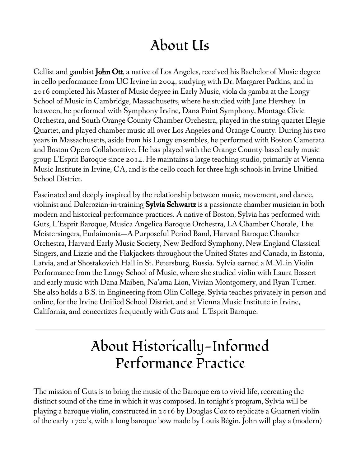#### About Us

Cellist and gambist **John Ott**, a native of Los Angeles, received his Bachelor of Music degree in cello performance from UC Irvine in 2004, studying with Dr. Margaret Parkins, and in 2016 completed his Master of Music degree in Early Music, viola da gamba at the Longy School of Music in Cambridge, Massachusetts, where he studied with Jane Hershey. In between, he performed with Symphony Irvine, Dana Point Symphony, Montage Civic Orchestra, and South Orange County Chamber Orchestra, played in the string quartet Elegie Quartet, and played chamber music all over Los Angeles and Orange County. During his two years in Massachusetts, aside from his Longy ensembles, he performed with Boston Camerata and Boston Opera Collaborative. He has played with the Orange County-based early music group L'Esprit Baroque since 2014. He maintains a large teaching studio, primarily at Vienna Music Institute in Irvine, CA, and is the cello coach for three high schools in Irvine Unified School District.

Fascinated and deeply inspired by the relationship between music, movement, and dance, violinist and Dalcrozian-in-training **Sylvia Schwartz** is a passionate chamber musician in both modern and historical performance practices. A native of Boston, Sylvia has performed with Guts, L'Esprit Baroque, Musica Angelica Baroque Orchestra, LA Chamber Chorale, The Meistersingers, Eudaimonia—A Purposeful Period Band, Harvard Baroque Chamber Orchestra, Harvard Early Music Society, New Bedford Symphony, New England Classical Singers, and Lizzie and the Flakjackets throughout the United States and Canada, in Estonia, Latvia, and at Shostakovich Hall in St. Petersburg, Russia. Sylvia earned a M.M. in Violin Performance from the Longy School of Music, where she studied violin with Laura Bossert and early music with Dana Maiben, Na'ama Lion, Vivian Montgomery, and Ryan Turner. She also holds a B.S. in Engineering from Olin College. Sylvia teaches privately in person and online, for the Irvine Unified School District, and at Vienna Music Institute in Irvine, California, and concertizes frequently with Guts and L'Esprit Baroque.

# About Historically-Informed Performance Practice

The mission of Guts is to bring the music of the Baroque era to vivid life, recreating the distinct sound of the time in which it was composed. In tonight's program, Sylvia will be playing a baroque violin, constructed in 2016 by Douglas Cox to replicate a Guarneri violin of the early 1700's, with a long baroque bow made by Louis Bégin. John will play a (modern)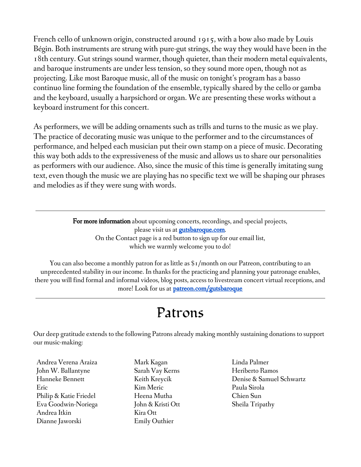French cello of unknown origin, constructed around 1915, with a bow also made by Louis Bégin. Both instruments are strung with pure-gut strings, the way they would have been in the 18th century. Gut strings sound warmer, though quieter, than their modern metal equivalents, and baroque instruments are under less tension, so they sound more open, though not as projecting. Like most Baroque music, all of the music on tonight's program has a basso continuo line forming the foundation of the ensemble, typically shared by the cello or gamba and the keyboard, usually a harpsichord or organ. We are presenting these works without a keyboard instrument for this concert.

As performers, we will be adding ornaments such as trills and turns to the music as we play. The practice of decorating music was unique to the performer and to the circumstances of performance, and helped each musician put their own stamp on a piece of music. Decorating this way both adds to the expressiveness of the music and allows us to share our personalities as performers with our audience. Also, since the music of this time is generally imitating sung text, even though the music we are playing has no specific text we will be shaping our phrases and melodies as if they were sung with words.

> For more information about upcoming concerts, recordings, and special projects, please visit us at **[gutsbaroque.com](https://gutsbaroque.com/)**. On the Contact page is a red button to sign up for our email list, which we warmly welcome you to do!

You can also become a monthly patron for as little as \$1/month on our Patreon, contributing to an unprecedented stability in our income. In thanks for the practicing and planning your patronage enables, there you will find formal and informal videos, blog posts, access to livestream concert virtual receptions, and more! Look for us at **[patreon.com/gutsbaroque](https://patreon.com/gutsbaroque)** 

#### Patrons

Our deep gratitude extends to the following Patrons already making monthly sustaining donations to support our music-making:

Andrea Verena Araiza John W. Ballantyne Hanneke Bennett Eric Philip & Katie Friedel Eva Goodwin-Noriega Andrea Itkin Dianne Jaworski

Mark Kagan Sarah Vay Kerns Keith Kreycik Kim Meric Heena Mutha John & Kristi Ott Kira Ott Emily Outhier

Linda Palmer Heriberto Ramos Denise & Samuel Schwartz Paula Sirola Chien Sun Sheila Tripathy